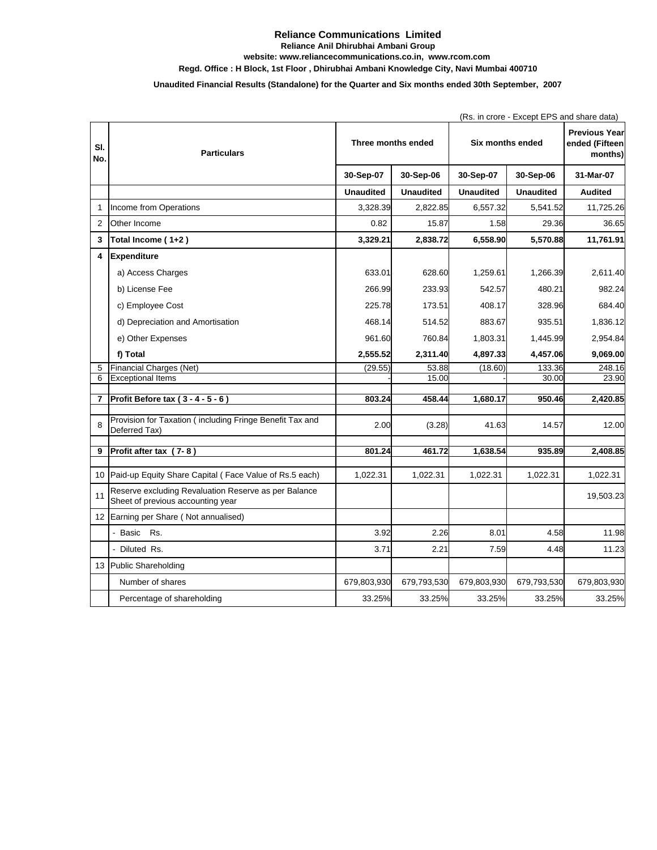## **Reliance Communications Limited**

**Reliance Anil Dhirubhai Ambani Group**

**website: www.reliancecommunications.co.in, www.rcom.com**

**Regd. Office : H Block, 1st Floor , Dhirubhai Ambani Knowledge City, Navi Mumbai 400710**

## **Unaudited Financial Results (Standalone) for the Quarter and Six months ended 30th September, 2007**

|                |                                                                                           |                    |                  |                         | (Rs. in crore - Except EPS and share data) |                                                   |  |  |
|----------------|-------------------------------------------------------------------------------------------|--------------------|------------------|-------------------------|--------------------------------------------|---------------------------------------------------|--|--|
| SI.<br>No.     | <b>Particulars</b>                                                                        | Three months ended |                  | <b>Six months ended</b> |                                            | <b>Previous Year</b><br>ended (Fifteen<br>months) |  |  |
|                |                                                                                           | 30-Sep-07          | 30-Sep-06        | 30-Sep-07               | 30-Sep-06                                  | 31-Mar-07                                         |  |  |
|                |                                                                                           | <b>Unaudited</b>   | <b>Unaudited</b> | <b>Unaudited</b>        | <b>Unaudited</b>                           | <b>Audited</b>                                    |  |  |
| 1              | Income from Operations                                                                    | 3,328.39           | 2,822.85         | 6,557.32                | 5,541.52                                   | 11,725.26                                         |  |  |
| $\overline{2}$ | Other Income                                                                              | 0.82               | 15.87            | 1.58                    | 29.36                                      | 36.65                                             |  |  |
| 3              | Total Income (1+2)                                                                        | 3,329.21           | 2,838.72         | 6,558.90                | 5,570.88                                   | 11,761.91                                         |  |  |
| 4              | <b>Expenditure</b>                                                                        |                    |                  |                         |                                            |                                                   |  |  |
|                | a) Access Charges                                                                         | 633.01             | 628.60           | 1,259.61                | 1,266.39                                   | 2,611.40                                          |  |  |
|                | b) License Fee                                                                            | 266.99             | 233.93           | 542.57                  | 480.21                                     | 982.24                                            |  |  |
|                | c) Employee Cost                                                                          | 225.78             | 173.51           | 408.17                  | 328.96                                     | 684.40                                            |  |  |
|                | d) Depreciation and Amortisation                                                          | 468.14             | 514.52           | 883.67                  | 935.51                                     | 1,836.12                                          |  |  |
|                | e) Other Expenses                                                                         | 961.60             | 760.84           | 1,803.31                | 1,445.99                                   | 2,954.84                                          |  |  |
|                | f) Total                                                                                  | 2,555.52           | 2,311.40         | 4,897.33                | 4,457.06                                   | 9,069.00                                          |  |  |
| 5              | Financial Charges (Net)                                                                   | (29.55)            | 53.88            | (18.60)                 | 133.36                                     | 248.16                                            |  |  |
| 6              | <b>Exceptional Items</b>                                                                  |                    | 15.00            |                         | 30.00                                      | 23.90                                             |  |  |
| $\overline{7}$ | Profit Before tax (3 - 4 - 5 - 6)                                                         | 803.24             | 458.44           | 1,680.17                | 950.46                                     | 2,420.85                                          |  |  |
|                |                                                                                           |                    |                  |                         |                                            |                                                   |  |  |
| 8              | Provision for Taxation (including Fringe Benefit Tax and<br>Deferred Tax)                 | 2.00               | (3.28)           | 41.63                   | 14.57                                      | 12.00                                             |  |  |
| 9              | Profit after tax (7-8)                                                                    | 801.24             | 461.72           | 1,638.54                | 935.89                                     | 2,408.85                                          |  |  |
|                |                                                                                           |                    |                  |                         |                                            |                                                   |  |  |
| 10             | Paid-up Equity Share Capital (Face Value of Rs.5 each)                                    | 1,022.31           | 1,022.31         | 1,022.31                | 1,022.31                                   | 1,022.31                                          |  |  |
| 11             | Reserve excluding Revaluation Reserve as per Balance<br>Sheet of previous accounting year |                    |                  |                         |                                            | 19,503.23                                         |  |  |
| 12             | Earning per Share (Not annualised)                                                        |                    |                  |                         |                                            |                                                   |  |  |
|                | - Basic Rs.                                                                               | 3.92               | 2.26             | 8.01                    | 4.58                                       | 11.98                                             |  |  |
|                | - Diluted Rs.                                                                             | 3.71               | 2.21             | 7.59                    | 4.48                                       | 11.23                                             |  |  |
| 13             | Public Shareholding                                                                       |                    |                  |                         |                                            |                                                   |  |  |
|                | Number of shares                                                                          | 679,803,930        | 679,793,530      | 679,803,930             | 679,793,530                                | 679,803,930                                       |  |  |
|                | Percentage of shareholding                                                                | 33.25%             | 33.25%           | 33.25%                  | 33.25%                                     | 33.25%                                            |  |  |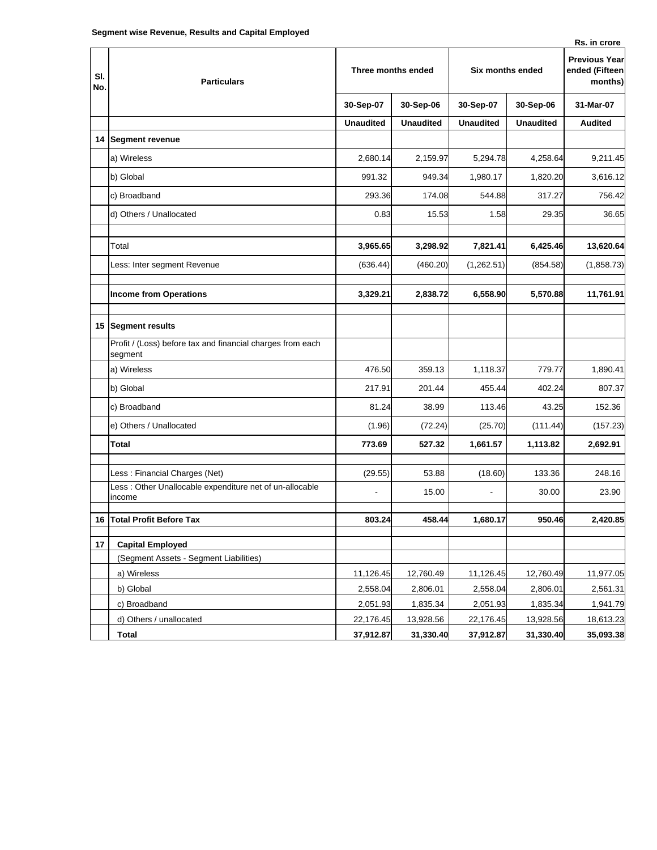**14 Segment revenue**

**Sl. No.**

|                                                                       |                  |                    |                  |                         | Rs. in crore   |  |
|-----------------------------------------------------------------------|------------------|--------------------|------------------|-------------------------|----------------|--|
| <b>Particulars</b>                                                    |                  | Three months ended |                  | <b>Six months ended</b> |                |  |
|                                                                       | 30-Sep-07        | 30-Sep-06          | 30-Sep-07        | 30-Sep-06               | 31-Mar-07      |  |
|                                                                       | <b>Unaudited</b> | <b>Unaudited</b>   | <b>Unaudited</b> | <b>Unaudited</b>        | <b>Audited</b> |  |
| Segment revenue                                                       |                  |                    |                  |                         |                |  |
| a) Wireless                                                           | 2,680.14         | 2,159.97           | 5,294.78         | 4,258.64                | 9,211.45       |  |
| b) Global                                                             | 991.32           | 949.34             | 1,980.17         | 1,820.20                | 3,616.12       |  |
| c) Broadband                                                          | 293.36           | 174.08             | 544.88           | 317.27                  | 756.42         |  |
| d) Others / Unallocated                                               | 0.83             | 15.53              | 1.58             | 29.35                   | 36.65          |  |
| Total                                                                 | 3,965.65         | 3,298.92           | 7,821.41         | 6,425.46                | 13,620.64      |  |
| Less: Inter segment Revenue                                           | (636.44)         | (460.20)           | (1,262.51)       | (854.58)                | (1,858.73)     |  |
| <b>Income from Operations</b>                                         | 3,329.21         | 2,838.72           | 6,558.90         | 5,570.88                | 11,761.91      |  |
| Segment results                                                       |                  |                    |                  |                         |                |  |
| Profit / (Loss) before tax and financial charges from each<br>segment |                  |                    |                  |                         |                |  |
| a) Wireless                                                           | 476.50           | 359.13             | 1,118.37         | 779.77                  | 1,890.41       |  |
| b) Global                                                             | 217.91           | 201.44             | 455.44           | 402.24                  | 807.37         |  |
|                                                                       |                  |                    |                  |                         |                |  |

|    | Less: Inter segment Revenue                                           | (636.44)  | (460.20)  | (1,262.51) | (854.58)  | (1,858.73) |
|----|-----------------------------------------------------------------------|-----------|-----------|------------|-----------|------------|
|    | <b>Income from Operations</b>                                         | 3,329.21  | 2,838.72  | 6,558.90   | 5,570.88  | 11,761.91  |
|    | 15 Segment results                                                    |           |           |            |           |            |
|    | Profit / (Loss) before tax and financial charges from each<br>segment |           |           |            |           |            |
|    | a) Wireless                                                           | 476.50    | 359.13    | 1,118.37   | 779.77    | 1,890.41   |
|    | b) Global                                                             | 217.91    | 201.44    | 455.44     | 402.24    | 807.37     |
|    | c) Broadband                                                          | 81.24     | 38.99     | 113.46     | 43.25     | 152.36     |
|    | e) Others / Unallocated                                               | (1.96)    | (72.24)   | (25.70)    | (111.44)  | (157.23)   |
|    | Total                                                                 | 773.69    | 527.32    | 1,661.57   | 1,113.82  | 2,692.91   |
|    | Less: Financial Charges (Net)                                         | (29.55)   | 53.88     | (18.60)    | 133.36    | 248.16     |
|    | Less: Other Unallocable expenditure net of un-allocable<br>income     |           | 15.00     |            | 30.00     | 23.90      |
| 16 | <b>Total Profit Before Tax</b>                                        | 803.24    | 458.44    | 1,680.17   | 950.46    | 2,420.85   |
| 17 | <b>Capital Employed</b>                                               |           |           |            |           |            |
|    | (Segment Assets - Segment Liabilities)                                |           |           |            |           |            |
|    | a) Wireless                                                           | 11,126.45 | 12,760.49 | 11,126.45  | 12,760.49 | 11,977.05  |
|    | b) Global                                                             | 2,558.04  | 2,806.01  | 2,558.04   | 2,806.01  | 2,561.31   |
|    | c) Broadband                                                          | 2,051.93  | 1,835.34  | 2,051.93   | 1,835.34  | 1,941.79   |
|    | d) Others / unallocated                                               | 22,176.45 | 13,928.56 | 22,176.45  | 13,928.56 | 18,613.23  |
|    | <b>Total</b>                                                          | 37,912.87 | 31,330.40 | 37,912.87  | 31,330.40 | 35,093.38  |
|    |                                                                       |           |           |            |           |            |